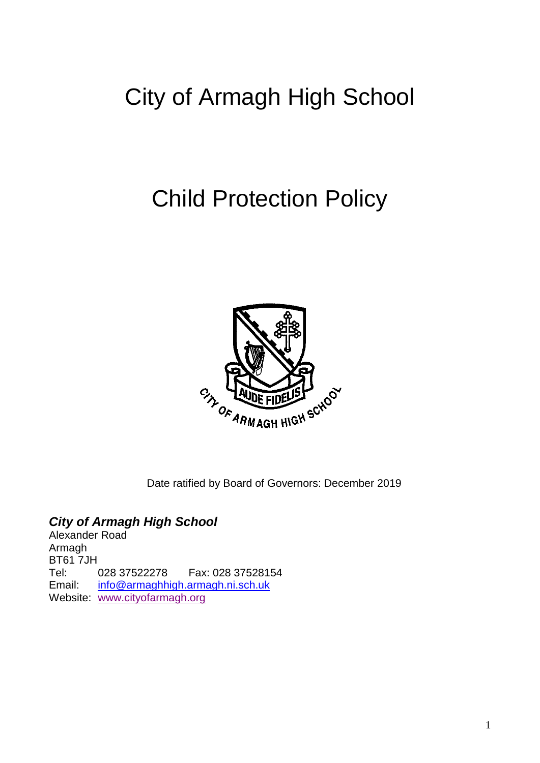# City of Armagh High School

# Child Protection Policy



Date ratified by Board of Governors: December 2019

# *City of Armagh High School*

Alexander Road Armagh BT61 7JH Tel: 028 37522278 Fax: 028 37528154 Email: [info@armaghhigh.armagh.ni.sch.uk](mailto:info@armaghhigh.armagh.ni.sch.uk) Website: [www.cityofarmagh.org](http://www.cityofarmagh.org/)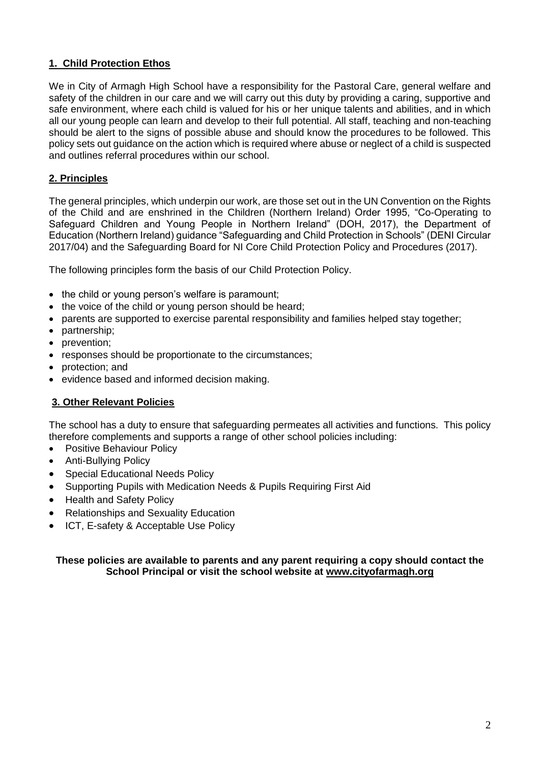# **1. Child Protection Ethos**

We in City of Armagh High School have a responsibility for the Pastoral Care, general welfare and safety of the children in our care and we will carry out this duty by providing a caring, supportive and safe environment, where each child is valued for his or her unique talents and abilities, and in which all our young people can learn and develop to their full potential. All staff, teaching and non-teaching should be alert to the signs of possible abuse and should know the procedures to be followed. This policy sets out guidance on the action which is required where abuse or neglect of a child is suspected and outlines referral procedures within our school.

# **2. Principles**

The general principles, which underpin our work, are those set out in the UN Convention on the Rights of the Child and are enshrined in the Children (Northern Ireland) Order 1995, "Co-Operating to Safeguard Children and Young People in Northern Ireland" (DOH, 2017), the Department of Education (Northern Ireland) guidance "Safeguarding and Child Protection in Schools" (DENI Circular 2017/04) and the Safeguarding Board for NI Core Child Protection Policy and Procedures (2017).

The following principles form the basis of our Child Protection Policy.

- the child or young person's welfare is paramount;
- the voice of the child or young person should be heard;
- parents are supported to exercise parental responsibility and families helped stay together;
- partnership;
- prevention;
- responses should be proportionate to the circumstances;
- protection; and
- evidence based and informed decision making.

## **3. Other Relevant Policies**

The school has a duty to ensure that safeguarding permeates all activities and functions. This policy therefore complements and supports a range of other school policies including:

- Positive Behaviour Policy
- Anti-Bullying Policy
- Special Educational Needs Policy
- Supporting Pupils with Medication Needs & Pupils Requiring First Aid
- Health and Safety Policy
- Relationships and Sexuality Education
- ICT, E-safety & Acceptable Use Policy

#### **These policies are available to parents and any parent requiring a copy should contact the School Principal or visit the school website at www.cityofarmagh.org**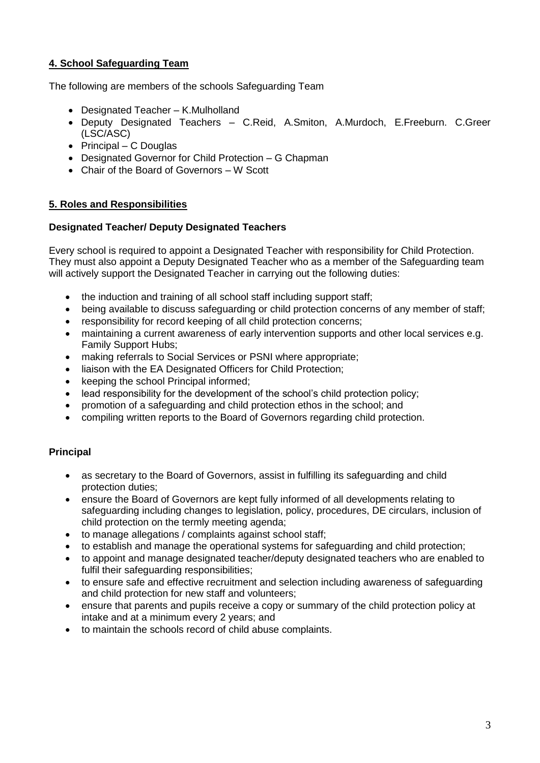# **4. School Safeguarding Team**

The following are members of the schools Safeguarding Team

- Designated Teacher K.Mulholland
- Deputy Designated Teachers C.Reid, A.Smiton, A.Murdoch, E.Freeburn. C.Greer (LSC/ASC)
- $\bullet$  Principal C Douglas
- Designated Governor for Child Protection G Chapman
- Chair of the Board of Governors W Scott

#### **5. Roles and Responsibilities**

#### **Designated Teacher/ Deputy Designated Teachers**

Every school is required to appoint a Designated Teacher with responsibility for Child Protection. They must also appoint a Deputy Designated Teacher who as a member of the Safeguarding team will actively support the Designated Teacher in carrying out the following duties:

- the induction and training of all school staff including support staff;
- being available to discuss safeguarding or child protection concerns of any member of staff;
- responsibility for record keeping of all child protection concerns;
- maintaining a current awareness of early intervention supports and other local services e.g. Family Support Hubs;
- making referrals to Social Services or PSNI where appropriate;
- liaison with the EA Designated Officers for Child Protection;
- keeping the school Principal informed;
- lead responsibility for the development of the school's child protection policy;
- promotion of a safeguarding and child protection ethos in the school; and
- compiling written reports to the Board of Governors regarding child protection.

## **Principal**

- as secretary to the Board of Governors, assist in fulfilling its safeguarding and child protection duties;
- ensure the Board of Governors are kept fully informed of all developments relating to safeguarding including changes to legislation, policy, procedures, DE circulars, inclusion of child protection on the termly meeting agenda;
- to manage allegations / complaints against school staff;
- to establish and manage the operational systems for safeguarding and child protection;
- to appoint and manage designated teacher/deputy designated teachers who are enabled to fulfil their safeguarding responsibilities;
- to ensure safe and effective recruitment and selection including awareness of safeguarding and child protection for new staff and volunteers;
- ensure that parents and pupils receive a copy or summary of the child protection policy at intake and at a minimum every 2 years; and
- to maintain the schools record of child abuse complaints.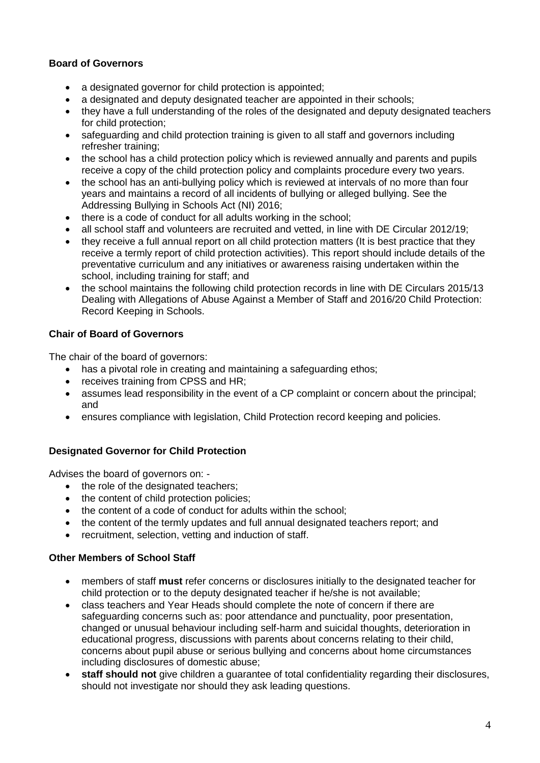## **Board of Governors**

- a designated governor for child protection is appointed;
- a designated and deputy designated teacher are appointed in their schools;
- they have a full understanding of the roles of the designated and deputy designated teachers for child protection;
- safeguarding and child protection training is given to all staff and governors including refresher training;
- the school has a child protection policy which is reviewed annually and parents and pupils receive a copy of the child protection policy and complaints procedure every two years.
- the school has an anti-bullying policy which is reviewed at intervals of no more than four years and maintains a record of all incidents of bullying or alleged bullying. See the Addressing Bullying in Schools Act (NI) 2016;
- there is a code of conduct for all adults working in the school;
- all school staff and volunteers are recruited and vetted, in line with DE Circular 2012/19;
- they receive a full annual report on all child protection matters (It is best practice that they receive a termly report of child protection activities). This report should include details of the preventative curriculum and any initiatives or awareness raising undertaken within the school, including training for staff; and
- the school maintains the following child protection records in line with DE Circulars 2015/13 Dealing with Allegations of Abuse Against a Member of Staff and 2016/20 Child Protection: Record Keeping in Schools.

## **Chair of Board of Governors**

The chair of the board of governors:

- has a pivotal role in creating and maintaining a safeguarding ethos;
- receives training from CPSS and HR;
- assumes lead responsibility in the event of a CP complaint or concern about the principal; and
- ensures compliance with legislation, Child Protection record keeping and policies.

## **Designated Governor for Child Protection**

Advises the board of governors on: -

- the role of the designated teachers;
- the content of child protection policies;
- the content of a code of conduct for adults within the school;
- the content of the termly updates and full annual designated teachers report; and
- recruitment, selection, vetting and induction of staff.

## **Other Members of School Staff**

- members of staff **must** refer concerns or disclosures initially to the designated teacher for child protection or to the deputy designated teacher if he/she is not available;
- class teachers and Year Heads should complete the note of concern if there are safeguarding concerns such as: poor attendance and punctuality, poor presentation, changed or unusual behaviour including self-harm and suicidal thoughts, deterioration in educational progress, discussions with parents about concerns relating to their child, concerns about pupil abuse or serious bullying and concerns about home circumstances including disclosures of domestic abuse;
- **staff should not** give children a guarantee of total confidentiality regarding their disclosures, should not investigate nor should they ask leading questions.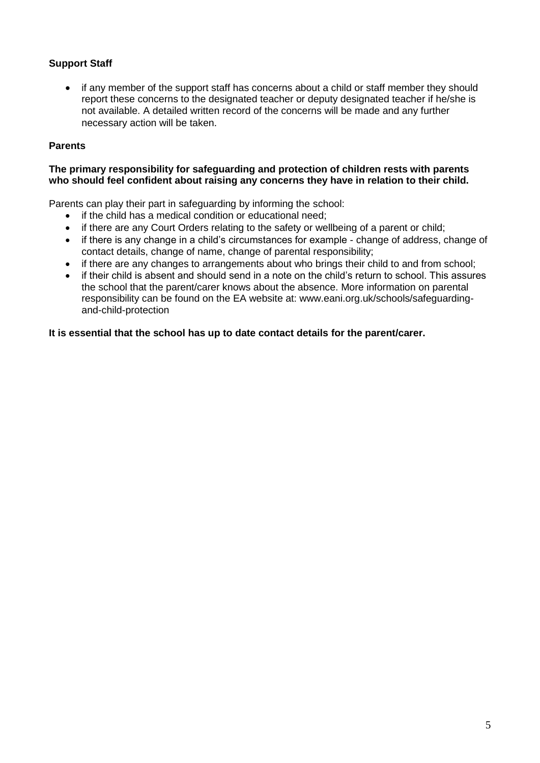# **Support Staff**

 if any member of the support staff has concerns about a child or staff member they should report these concerns to the designated teacher or deputy designated teacher if he/she is not available. A detailed written record of the concerns will be made and any further necessary action will be taken.

#### **Parents**

#### **The primary responsibility for safeguarding and protection of children rests with parents who should feel confident about raising any concerns they have in relation to their child.**

Parents can play their part in safeguarding by informing the school:

- if the child has a medical condition or educational need;
- if there are any Court Orders relating to the safety or wellbeing of a parent or child;
- if there is any change in a child's circumstances for example change of address, change of contact details, change of name, change of parental responsibility;
- if there are any changes to arrangements about who brings their child to and from school;
- if their child is absent and should send in a note on the child's return to school. This assures the school that the parent/carer knows about the absence. More information on parental responsibility can be found on the EA website at: www.eani.org.uk/schools/safeguardingand-child-protection

#### **It is essential that the school has up to date contact details for the parent/carer.**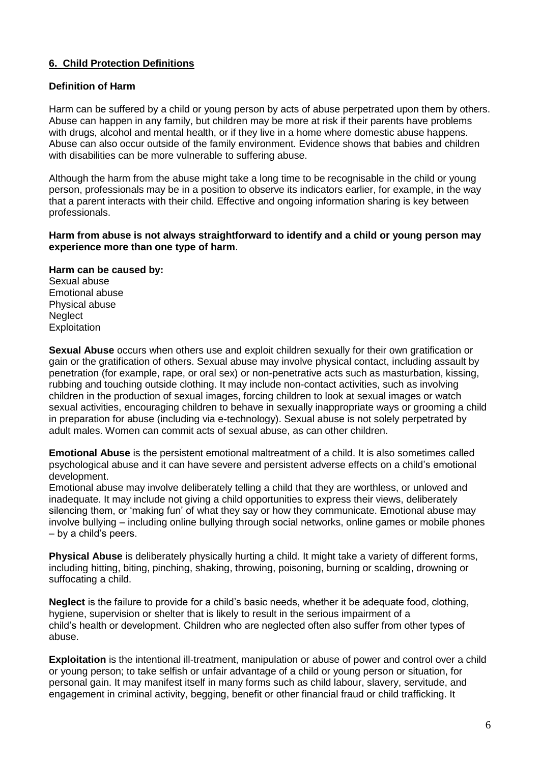## **6. Child Protection Definitions**

#### **Definition of Harm**

Harm can be suffered by a child or young person by acts of abuse perpetrated upon them by others. Abuse can happen in any family, but children may be more at risk if their parents have problems with drugs, alcohol and mental health, or if they live in a home where domestic abuse happens. Abuse can also occur outside of the family environment. Evidence shows that babies and children with disabilities can be more vulnerable to suffering abuse.

Although the harm from the abuse might take a long time to be recognisable in the child or young person, professionals may be in a position to observe its indicators earlier, for example, in the way that a parent interacts with their child. Effective and ongoing information sharing is key between professionals.

#### **Harm from abuse is not always straightforward to identify and a child or young person may experience more than one type of harm**.

#### **Harm can be caused by:**

Sexual abuse Emotional abuse Physical abuse **Neglect Exploitation** 

**Sexual Abuse** occurs when others use and exploit children sexually for their own gratification or gain or the gratification of others. Sexual abuse may involve physical contact, including assault by penetration (for example, rape, or oral sex) or non-penetrative acts such as masturbation, kissing, rubbing and touching outside clothing. It may include non-contact activities, such as involving children in the production of sexual images, forcing children to look at sexual images or watch sexual activities, encouraging children to behave in sexually inappropriate ways or grooming a child in preparation for abuse (including via e-technology). Sexual abuse is not solely perpetrated by adult males. Women can commit acts of sexual abuse, as can other children.

**Emotional Abuse** is the persistent emotional maltreatment of a child. It is also sometimes called psychological abuse and it can have severe and persistent adverse effects on a child's emotional development.

Emotional abuse may involve deliberately telling a child that they are worthless, or unloved and inadequate. It may include not giving a child opportunities to express their views, deliberately silencing them, or 'making fun' of what they say or how they communicate. Emotional abuse may involve bullying – including online bullying through social networks, online games or mobile phones – by a child's peers.

**Physical Abuse** is deliberately physically hurting a child. It might take a variety of different forms, including hitting, biting, pinching, shaking, throwing, poisoning, burning or scalding, drowning or suffocating a child.

**Neglect** is the failure to provide for a child's basic needs, whether it be adequate food, clothing, hygiene, supervision or shelter that is likely to result in the serious impairment of a child's health or development. Children who are neglected often also suffer from other types of abuse.

**Exploitation** is the intentional ill-treatment, manipulation or abuse of power and control over a child or young person; to take selfish or unfair advantage of a child or young person or situation, for personal gain. It may manifest itself in many forms such as child labour, slavery, servitude, and engagement in criminal activity, begging, benefit or other financial fraud or child trafficking. It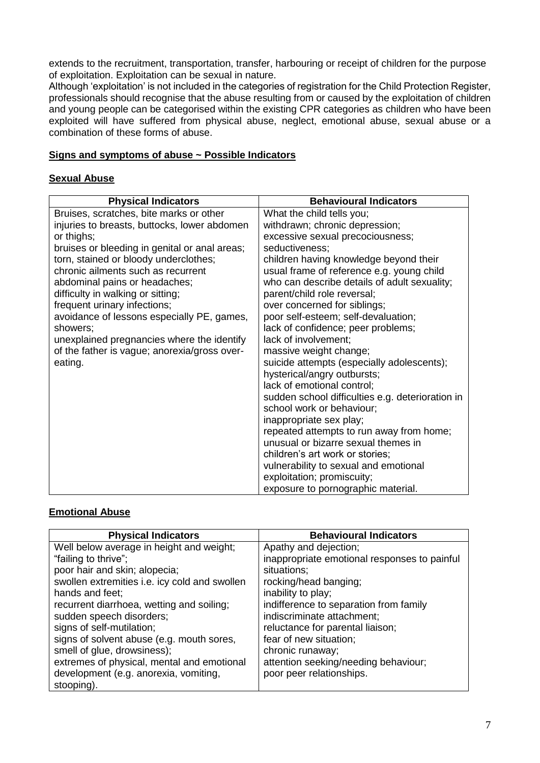extends to the recruitment, transportation, transfer, harbouring or receipt of children for the purpose of exploitation. Exploitation can be sexual in nature.

Although 'exploitation' is not included in the categories of registration for the Child Protection Register, professionals should recognise that the abuse resulting from or caused by the exploitation of children and young people can be categorised within the existing CPR categories as children who have been exploited will have suffered from physical abuse, neglect, emotional abuse, sexual abuse or a combination of these forms of abuse.

#### **Signs and symptoms of abuse ~ Possible Indicators**

## **Sexual Abuse**

| <b>Physical Indicators</b>                    | <b>Behavioural Indicators</b>                    |
|-----------------------------------------------|--------------------------------------------------|
| Bruises, scratches, bite marks or other       | What the child tells you;                        |
| injuries to breasts, buttocks, lower abdomen  | withdrawn; chronic depression;                   |
| or thighs;                                    | excessive sexual precociousness;                 |
| bruises or bleeding in genital or anal areas; | seductiveness;                                   |
| torn, stained or bloody underclothes;         | children having knowledge beyond their           |
| chronic ailments such as recurrent            | usual frame of reference e.g. young child        |
| abdominal pains or headaches;                 | who can describe details of adult sexuality;     |
| difficulty in walking or sitting;             | parent/child role reversal;                      |
| frequent urinary infections;                  | over concerned for siblings;                     |
| avoidance of lessons especially PE, games,    | poor self-esteem; self-devaluation;              |
| showers;                                      | lack of confidence; peer problems;               |
| unexplained pregnancies where the identify    | lack of involvement;                             |
| of the father is vague; anorexia/gross over-  | massive weight change;                           |
| eating.                                       | suicide attempts (especially adolescents);       |
|                                               | hysterical/angry outbursts;                      |
|                                               | lack of emotional control;                       |
|                                               | sudden school difficulties e.g. deterioration in |
|                                               | school work or behaviour;                        |
|                                               | inappropriate sex play;                          |
|                                               | repeated attempts to run away from home;         |
|                                               | unusual or bizarre sexual themes in              |
|                                               | children's art work or stories;                  |
|                                               | vulnerability to sexual and emotional            |
|                                               | exploitation; promiscuity;                       |
|                                               | exposure to pornographic material.               |

## **Emotional Abuse**

| <b>Physical Indicators</b>                    | <b>Behavioural Indicators</b>                |
|-----------------------------------------------|----------------------------------------------|
| Well below average in height and weight;      | Apathy and dejection;                        |
| "failing to thrive";                          | inappropriate emotional responses to painful |
| poor hair and skin; alopecia;                 | situations;                                  |
| swollen extremities i.e. icy cold and swollen | rocking/head banging;                        |
| hands and feet:                               | inability to play;                           |
| recurrent diarrhoea, wetting and soiling;     | indifference to separation from family       |
| sudden speech disorders;                      | indiscriminate attachment;                   |
| signs of self-mutilation;                     | reluctance for parental liaison;             |
| signs of solvent abuse (e.g. mouth sores,     | fear of new situation;                       |
| smell of glue, drowsiness);                   | chronic runaway;                             |
| extremes of physical, mental and emotional    | attention seeking/needing behaviour;         |
| development (e.g. anorexia, vomiting,         | poor peer relationships.                     |
| stooping).                                    |                                              |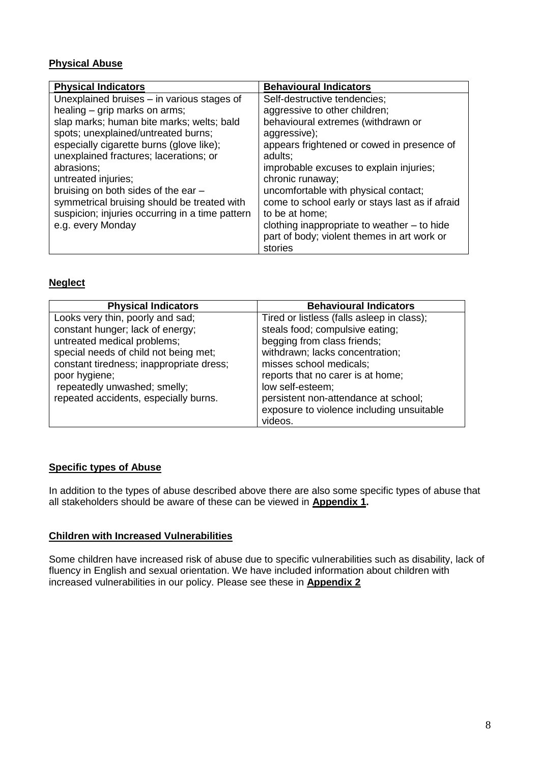# **Physical Abuse**

| <b>Physical Indicators</b>                      | <b>Behavioural Indicators</b>                   |
|-------------------------------------------------|-------------------------------------------------|
| Unexplained bruises - in various stages of      | Self-destructive tendencies;                    |
| healing - grip marks on arms;                   | aggressive to other children;                   |
| slap marks; human bite marks; welts; bald       | behavioural extremes (withdrawn or              |
| spots; unexplained/untreated burns;             | aggressive);                                    |
| especially cigarette burns (glove like);        | appears frightened or cowed in presence of      |
| unexplained fractures; lacerations; or          | adults;                                         |
| abrasions;                                      | improbable excuses to explain injuries;         |
| untreated injuries;                             | chronic runaway;                                |
| bruising on both sides of the ear -             | uncomfortable with physical contact;            |
| symmetrical bruising should be treated with     | come to school early or stays last as if afraid |
| suspicion; injuries occurring in a time pattern | to be at home;                                  |
| e.g. every Monday                               | clothing inappropriate to weather - to hide     |
|                                                 | part of body; violent themes in art work or     |
|                                                 | stories                                         |

## **Neglect**

| <b>Physical Indicators</b>               | <b>Behavioural Indicators</b>              |
|------------------------------------------|--------------------------------------------|
| Looks very thin, poorly and sad;         | Tired or listless (falls asleep in class); |
| constant hunger; lack of energy;         | steals food; compulsive eating;            |
| untreated medical problems;              | begging from class friends;                |
| special needs of child not being met;    | withdrawn; lacks concentration;            |
| constant tiredness; inappropriate dress; | misses school medicals;                    |
| poor hygiene;                            | reports that no carer is at home;          |
| repeatedly unwashed; smelly;             | low self-esteem;                           |
| repeated accidents, especially burns.    | persistent non-attendance at school;       |
|                                          | exposure to violence including unsuitable  |
|                                          | videos.                                    |

## **Specific types of Abuse**

In addition to the types of abuse described above there are also some specific types of abuse that all stakeholders should be aware of these can be viewed in **Appendix 1.** 

#### **Children with Increased Vulnerabilities**

Some children have increased risk of abuse due to specific vulnerabilities such as disability, lack of fluency in English and sexual orientation. We have included information about children with increased vulnerabilities in our policy. Please see these in **Appendix 2**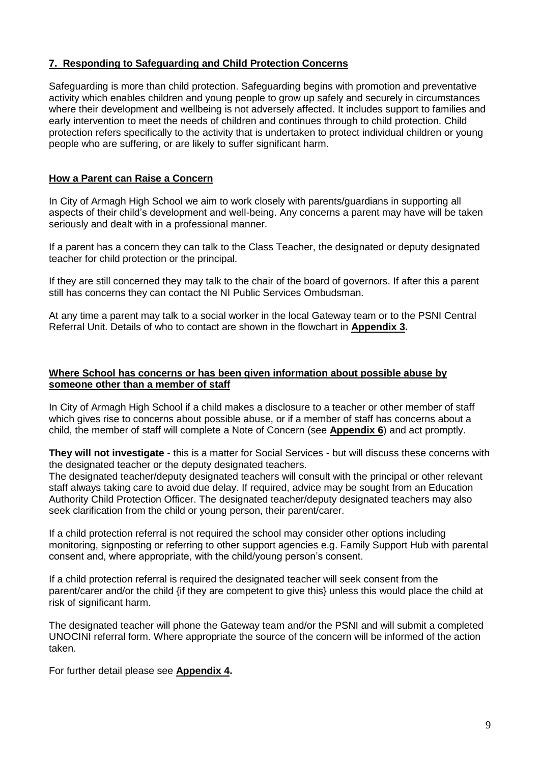## **7. Responding to Safeguarding and Child Protection Concerns**

Safeguarding is more than child protection. Safeguarding begins with promotion and preventative activity which enables children and young people to grow up safely and securely in circumstances where their development and wellbeing is not adversely affected. It includes support to families and early intervention to meet the needs of children and continues through to child protection. Child protection refers specifically to the activity that is undertaken to protect individual children or young people who are suffering, or are likely to suffer significant harm.

## **How a Parent can Raise a Concern**

In City of Armagh High School we aim to work closely with parents/guardians in supporting all aspects of their child's development and well-being. Any concerns a parent may have will be taken seriously and dealt with in a professional manner.

If a parent has a concern they can talk to the Class Teacher, the designated or deputy designated teacher for child protection or the principal.

If they are still concerned they may talk to the chair of the board of governors. If after this a parent still has concerns they can contact the NI Public Services Ombudsman.

At any time a parent may talk to a social worker in the local Gateway team or to the PSNI Central Referral Unit. Details of who to contact are shown in the flowchart in **Appendix 3.** 

#### **Where School has concerns or has been given information about possible abuse by someone other than a member of staff**

In City of Armagh High School if a child makes a disclosure to a teacher or other member of staff which gives rise to concerns about possible abuse, or if a member of staff has concerns about a child, the member of staff will complete a Note of Concern (see **Appendix 6**) and act promptly.

**They will not investigate** - this is a matter for Social Services - but will discuss these concerns with the designated teacher or the deputy designated teachers.

The designated teacher/deputy designated teachers will consult with the principal or other relevant staff always taking care to avoid due delay. If required, advice may be sought from an Education Authority Child Protection Officer. The designated teacher/deputy designated teachers may also seek clarification from the child or young person, their parent/carer.

If a child protection referral is not required the school may consider other options including monitoring, signposting or referring to other support agencies e.g. Family Support Hub with parental consent and, where appropriate, with the child/young person's consent.

If a child protection referral is required the designated teacher will seek consent from the parent/carer and/or the child {if they are competent to give this} unless this would place the child at risk of significant harm.

The designated teacher will phone the Gateway team and/or the PSNI and will submit a completed UNOCINI referral form. Where appropriate the source of the concern will be informed of the action taken.

For further detail please see **Appendix 4.**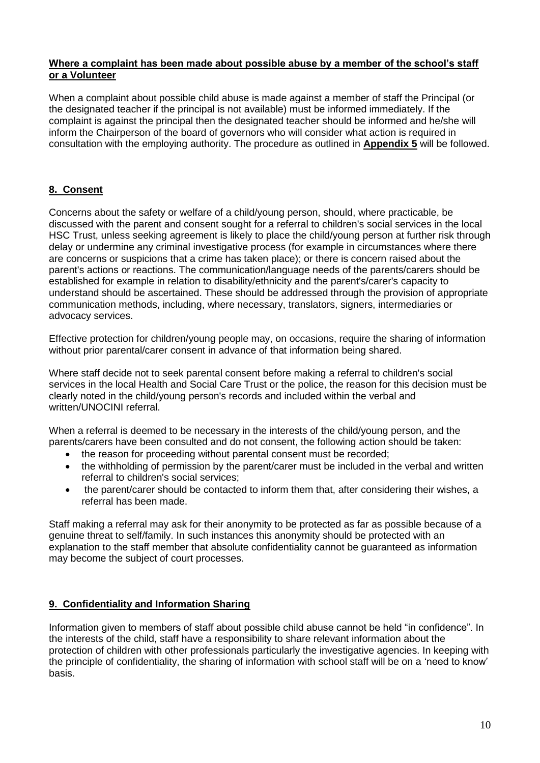#### **Where a complaint has been made about possible abuse by a member of the school's staff or a Volunteer**

When a complaint about possible child abuse is made against a member of staff the Principal (or the designated teacher if the principal is not available) must be informed immediately. If the complaint is against the principal then the designated teacher should be informed and he/she will inform the Chairperson of the board of governors who will consider what action is required in consultation with the employing authority. The procedure as outlined in **Appendix 5** will be followed.

## **8. Consent**

Concerns about the safety or welfare of a child/young person, should, where practicable, be discussed with the parent and consent sought for a referral to children's social services in the local HSC Trust, unless seeking agreement is likely to place the child/young person at further risk through delay or undermine any criminal investigative process (for example in circumstances where there are concerns or suspicions that a crime has taken place); or there is concern raised about the parent's actions or reactions. The communication/language needs of the parents/carers should be established for example in relation to disability/ethnicity and the parent's/carer's capacity to understand should be ascertained. These should be addressed through the provision of appropriate communication methods, including, where necessary, translators, signers, intermediaries or advocacy services.

Effective protection for children/young people may, on occasions, require the sharing of information without prior parental/carer consent in advance of that information being shared.

Where staff decide not to seek parental consent before making a referral to children's social services in the local Health and Social Care Trust or the police, the reason for this decision must be clearly noted in the child/young person's records and included within the verbal and written/UNOCINI referral.

When a referral is deemed to be necessary in the interests of the child/young person, and the parents/carers have been consulted and do not consent, the following action should be taken:

- the reason for proceeding without parental consent must be recorded;
- the withholding of permission by the parent/carer must be included in the verbal and written referral to children's social services;
- the parent/carer should be contacted to inform them that, after considering their wishes, a referral has been made.

Staff making a referral may ask for their anonymity to be protected as far as possible because of a genuine threat to self/family. In such instances this anonymity should be protected with an explanation to the staff member that absolute confidentiality cannot be guaranteed as information may become the subject of court processes.

## **9. Confidentiality and Information Sharing**

Information given to members of staff about possible child abuse cannot be held "in confidence". In the interests of the child, staff have a responsibility to share relevant information about the protection of children with other professionals particularly the investigative agencies. In keeping with the principle of confidentiality, the sharing of information with school staff will be on a 'need to know' basis.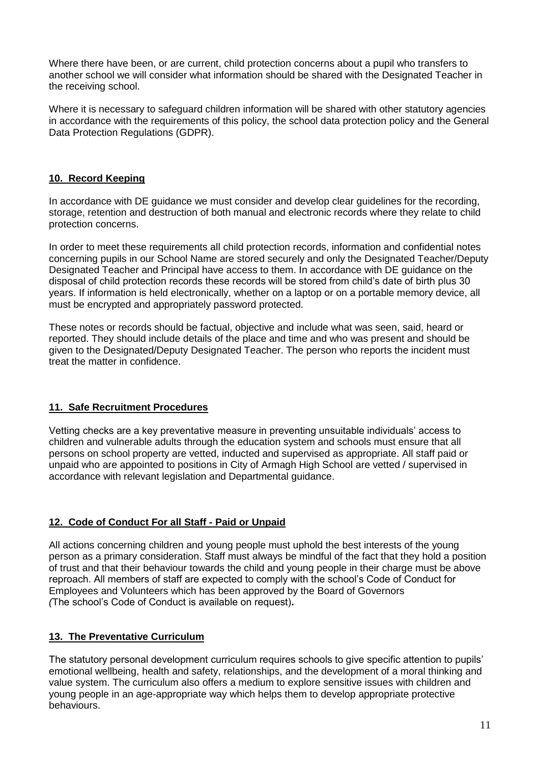Where there have been, or are current, child protection concerns about a pupil who transfers to another school we will consider what information should be shared with the Designated Teacher in the receiving school.

Where it is necessary to safeguard children information will be shared with other statutory agencies in accordance with the requirements of this policy, the school data protection policy and the General Data Protection Regulations (GDPR).

## **10. Record Keeping**

In accordance with DE guidance we must consider and develop clear guidelines for the recording, storage, retention and destruction of both manual and electronic records where they relate to child protection concerns.

In order to meet these requirements all child protection records, information and confidential notes concerning pupils in our School Name are stored securely and only the Designated Teacher/Deputy Designated Teacher and Principal have access to them. In accordance with DE guidance on the disposal of child protection records these records will be stored from child's date of birth plus 30 years. If information is held electronically, whether on a laptop or on a portable memory device, all must be encrypted and appropriately password protected.

These notes or records should be factual, objective and include what was seen, said, heard or reported. They should include details of the place and time and who was present and should be given to the Designated/Deputy Designated Teacher. The person who reports the incident must treat the matter in confidence.

## **11. Safe Recruitment Procedures**

Vetting checks are a key preventative measure in preventing unsuitable individuals' access to children and vulnerable adults through the education system and schools must ensure that all persons on school property are vetted, inducted and supervised as appropriate. All staff paid or unpaid who are appointed to positions in City of Armagh High School are vetted / supervised in accordance with relevant legislation and Departmental guidance.

## **12. Code of Conduct For all Staff - Paid or Unpaid**

All actions concerning children and young people must uphold the best interests of the young person as a primary consideration. Staff must always be mindful of the fact that they hold a position of trust and that their behaviour towards the child and young people in their charge must be above reproach. All members of staff are expected to comply with the school's Code of Conduct for Employees and Volunteers which has been approved by the Board of Governors *(*The school's Code of Conduct is available on request)**.**

## **13. The Preventative Curriculum**

The statutory personal development curriculum requires schools to give specific attention to pupils' emotional wellbeing, health and safety, relationships, and the development of a moral thinking and value system. The curriculum also offers a medium to explore sensitive issues with children and young people in an age-appropriate way which helps them to develop appropriate protective behaviours.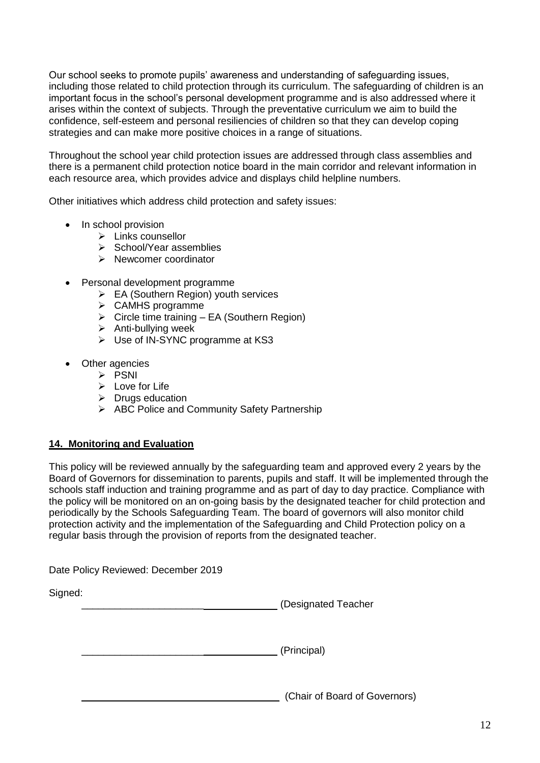Our school seeks to promote pupils' awareness and understanding of safeguarding issues, including those related to child protection through its curriculum. The safeguarding of children is an important focus in the school's personal development programme and is also addressed where it arises within the context of subjects. Through the preventative curriculum we aim to build the confidence, self-esteem and personal resiliencies of children so that they can develop coping strategies and can make more positive choices in a range of situations.

Throughout the school year child protection issues are addressed through class assemblies and there is a permanent child protection notice board in the main corridor and relevant information in each resource area, which provides advice and displays child helpline numbers.

Other initiatives which address child protection and safety issues:

- In school provision
	- $\triangleright$  Links counsellor
	- $\triangleright$  School/Year assemblies
	- $\triangleright$  Newcomer coordinator
- Personal development programme
	- $\triangleright$  EA (Southern Region) youth services
	- CAMHS programme
	- $\triangleright$  Circle time training EA (Southern Region)
	- $\triangleright$  Anti-bullying week
	- Use of IN-SYNC programme at KS3
- Other agencies
	- $\triangleright$  PSNI
	- $\triangleright$  Love for Life
	- $\triangleright$  Drugs education
	- ABC Police and Community Safety Partnership

## **14. Monitoring and Evaluation**

This policy will be reviewed annually by the safeguarding team and approved every 2 years by the Board of Governors for dissemination to parents, pupils and staff. It will be implemented through the schools staff induction and training programme and as part of day to day practice. Compliance with the policy will be monitored on an on-going basis by the designated teacher for child protection and periodically by the Schools Safeguarding Team. The board of governors will also monitor child protection activity and the implementation of the Safeguarding and Child Protection policy on a regular basis through the provision of reports from the designated teacher.

Date Policy Reviewed: December 2019

Signed:

\_\_\_\_\_\_\_\_\_\_\_\_\_\_\_\_\_\_\_\_\_\_ (Designated Teacher

\_\_\_\_\_\_\_\_\_\_\_\_\_\_\_\_\_\_\_\_\_\_ (Principal)

\_\_\_\_\_\_\_\_\_\_\_\_\_\_\_\_\_\_ (Chair of Board of Governors)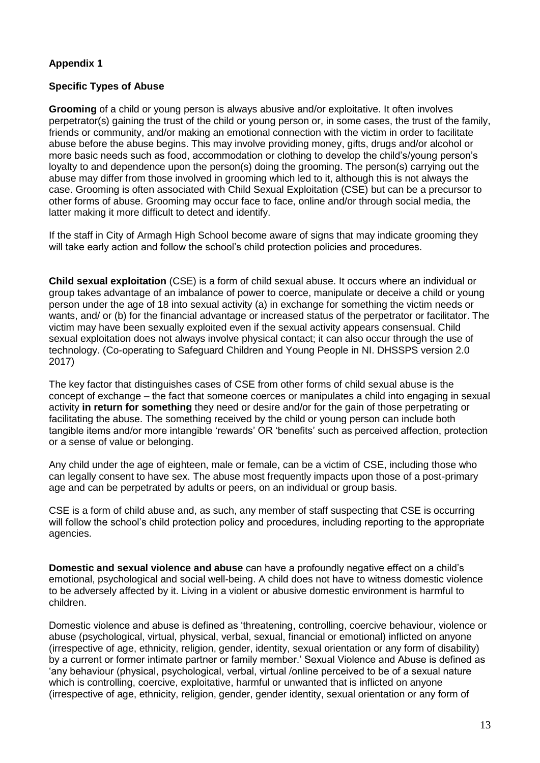#### **Specific Types of Abuse**

**Grooming** of a child or young person is always abusive and/or exploitative. It often involves perpetrator(s) gaining the trust of the child or young person or, in some cases, the trust of the family, friends or community, and/or making an emotional connection with the victim in order to facilitate abuse before the abuse begins. This may involve providing money, gifts, drugs and/or alcohol or more basic needs such as food, accommodation or clothing to develop the child's/young person's loyalty to and dependence upon the person(s) doing the grooming. The person(s) carrying out the abuse may differ from those involved in grooming which led to it, although this is not always the case. Grooming is often associated with Child Sexual Exploitation (CSE) but can be a precursor to other forms of abuse. Grooming may occur face to face, online and/or through social media, the latter making it more difficult to detect and identify.

If the staff in City of Armagh High School become aware of signs that may indicate grooming they will take early action and follow the school's child protection policies and procedures.

**Child sexual exploitation** (CSE) is a form of child sexual abuse. It occurs where an individual or group takes advantage of an imbalance of power to coerce, manipulate or deceive a child or young person under the age of 18 into sexual activity (a) in exchange for something the victim needs or wants, and/ or (b) for the financial advantage or increased status of the perpetrator or facilitator. The victim may have been sexually exploited even if the sexual activity appears consensual. Child sexual exploitation does not always involve physical contact; it can also occur through the use of technology. (Co-operating to Safeguard Children and Young People in NI. DHSSPS version 2.0 2017)

The key factor that distinguishes cases of CSE from other forms of child sexual abuse is the concept of exchange – the fact that someone coerces or manipulates a child into engaging in sexual activity **in return for something** they need or desire and/or for the gain of those perpetrating or facilitating the abuse. The something received by the child or young person can include both tangible items and/or more intangible 'rewards' OR 'benefits' such as perceived affection, protection or a sense of value or belonging.

Any child under the age of eighteen, male or female, can be a victim of CSE, including those who can legally consent to have sex. The abuse most frequently impacts upon those of a post-primary age and can be perpetrated by adults or peers, on an individual or group basis.

CSE is a form of child abuse and, as such, any member of staff suspecting that CSE is occurring will follow the school's child protection policy and procedures, including reporting to the appropriate agencies.

**Domestic and sexual violence and abuse** can have a profoundly negative effect on a child's emotional, psychological and social well-being. A child does not have to witness domestic violence to be adversely affected by it. Living in a violent or abusive domestic environment is harmful to children.

Domestic violence and abuse is defined as 'threatening, controlling, coercive behaviour, violence or abuse (psychological, virtual, physical, verbal, sexual, financial or emotional) inflicted on anyone (irrespective of age, ethnicity, religion, gender, identity, sexual orientation or any form of disability) by a current or former intimate partner or family member.' Sexual Violence and Abuse is defined as 'any behaviour (physical, psychological, verbal, virtual /online perceived to be of a sexual nature which is controlling, coercive, exploitative, harmful or unwanted that is inflicted on anyone (irrespective of age, ethnicity, religion, gender, gender identity, sexual orientation or any form of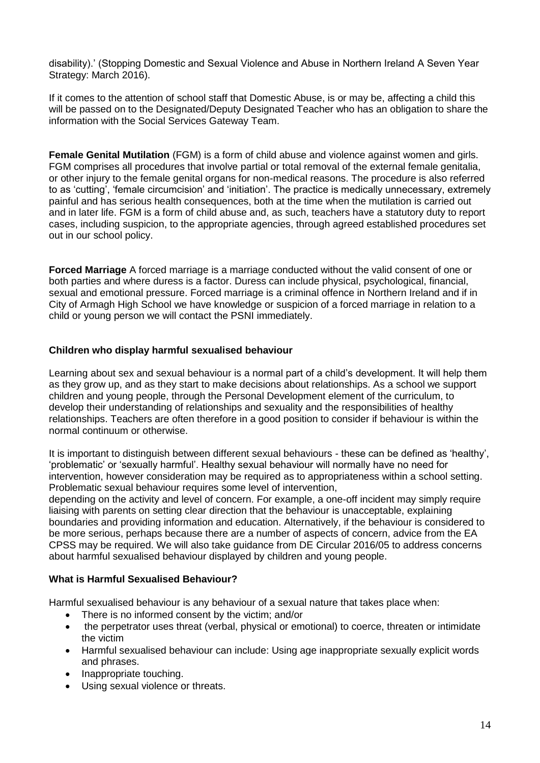disability).' (Stopping Domestic and Sexual Violence and Abuse in Northern Ireland A Seven Year Strategy: March 2016).

If it comes to the attention of school staff that Domestic Abuse, is or may be, affecting a child this will be passed on to the Designated/Deputy Designated Teacher who has an obligation to share the information with the Social Services Gateway Team.

**Female Genital Mutilation** (FGM) is a form of child abuse and violence against women and girls. FGM comprises all procedures that involve partial or total removal of the external female genitalia, or other injury to the female genital organs for non-medical reasons. The procedure is also referred to as 'cutting', 'female circumcision' and 'initiation'. The practice is medically unnecessary, extremely painful and has serious health consequences, both at the time when the mutilation is carried out and in later life. FGM is a form of child abuse and, as such, teachers have a statutory duty to report cases, including suspicion, to the appropriate agencies, through agreed established procedures set out in our school policy.

**Forced Marriage** A forced marriage is a marriage conducted without the valid consent of one or both parties and where duress is a factor. Duress can include physical, psychological, financial, sexual and emotional pressure. Forced marriage is a criminal offence in Northern Ireland and if in City of Armagh High School we have knowledge or suspicion of a forced marriage in relation to a child or young person we will contact the PSNI immediately.

#### **Children who display harmful sexualised behaviour**

Learning about sex and sexual behaviour is a normal part of a child's development. It will help them as they grow up, and as they start to make decisions about relationships. As a school we support children and young people, through the Personal Development element of the curriculum, to develop their understanding of relationships and sexuality and the responsibilities of healthy relationships. Teachers are often therefore in a good position to consider if behaviour is within the normal continuum or otherwise.

It is important to distinguish between different sexual behaviours - these can be defined as 'healthy', 'problematic' or 'sexually harmful'. Healthy sexual behaviour will normally have no need for intervention, however consideration may be required as to appropriateness within a school setting. Problematic sexual behaviour requires some level of intervention,

depending on the activity and level of concern. For example, a one-off incident may simply require liaising with parents on setting clear direction that the behaviour is unacceptable, explaining boundaries and providing information and education. Alternatively, if the behaviour is considered to be more serious, perhaps because there are a number of aspects of concern, advice from the EA CPSS may be required. We will also take guidance from DE Circular 2016/05 to address concerns about harmful sexualised behaviour displayed by children and young people.

#### **What is Harmful Sexualised Behaviour?**

Harmful sexualised behaviour is any behaviour of a sexual nature that takes place when:

- There is no informed consent by the victim; and/or
- the perpetrator uses threat (verbal, physical or emotional) to coerce, threaten or intimidate the victim
- Harmful sexualised behaviour can include: Using age inappropriate sexually explicit words and phrases.
- Inappropriate touching.
- Using sexual violence or threats.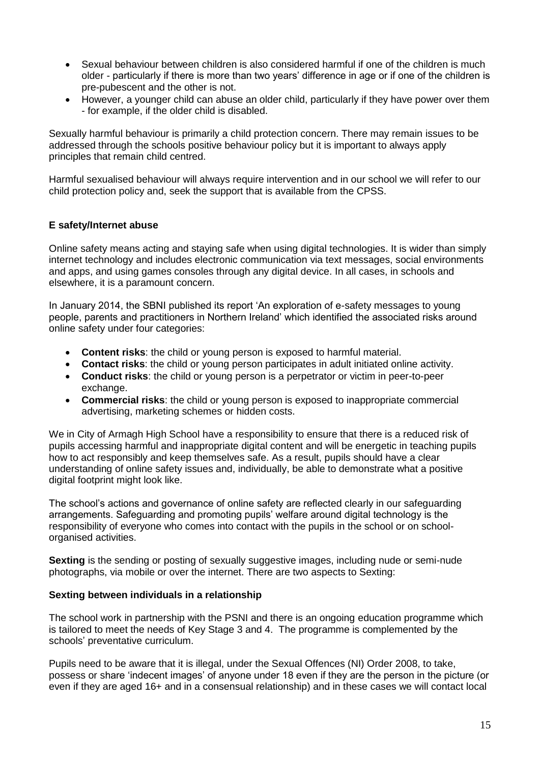- Sexual behaviour between children is also considered harmful if one of the children is much older - particularly if there is more than two years' difference in age or if one of the children is pre-pubescent and the other is not.
- However, a younger child can abuse an older child, particularly if they have power over them - for example, if the older child is disabled.

Sexually harmful behaviour is primarily a child protection concern. There may remain issues to be addressed through the schools positive behaviour policy but it is important to always apply principles that remain child centred.

Harmful sexualised behaviour will always require intervention and in our school we will refer to our child protection policy and, seek the support that is available from the CPSS.

#### **E safety/Internet abuse**

Online safety means acting and staying safe when using digital technologies. It is wider than simply internet technology and includes electronic communication via text messages, social environments and apps, and using games consoles through any digital device. In all cases, in schools and elsewhere, it is a paramount concern.

In January 2014, the SBNI published its report 'An exploration of e-safety messages to young people, parents and practitioners in Northern Ireland' which identified the associated risks around online safety under four categories:

- **Content risks**: the child or young person is exposed to harmful material.
- **Contact risks**: the child or young person participates in adult initiated online activity.
- **Conduct risks**: the child or young person is a perpetrator or victim in peer-to-peer exchange.
- **Commercial risks**: the child or young person is exposed to inappropriate commercial advertising, marketing schemes or hidden costs.

We in City of Armagh High School have a responsibility to ensure that there is a reduced risk of pupils accessing harmful and inappropriate digital content and will be energetic in teaching pupils how to act responsibly and keep themselves safe. As a result, pupils should have a clear understanding of online safety issues and, individually, be able to demonstrate what a positive digital footprint might look like.

The school's actions and governance of online safety are reflected clearly in our safeguarding arrangements. Safeguarding and promoting pupils' welfare around digital technology is the responsibility of everyone who comes into contact with the pupils in the school or on schoolorganised activities.

**Sexting** is the sending or posting of sexually suggestive images, including nude or semi-nude photographs, via mobile or over the internet. There are two aspects to Sexting:

#### **Sexting between individuals in a relationship**

The school work in partnership with the PSNI and there is an ongoing education programme which is tailored to meet the needs of Key Stage 3 and 4. The programme is complemented by the schools' preventative curriculum.

Pupils need to be aware that it is illegal, under the Sexual Offences (NI) Order 2008, to take, possess or share 'indecent images' of anyone under 18 even if they are the person in the picture (or even if they are aged 16+ and in a consensual relationship) and in these cases we will contact local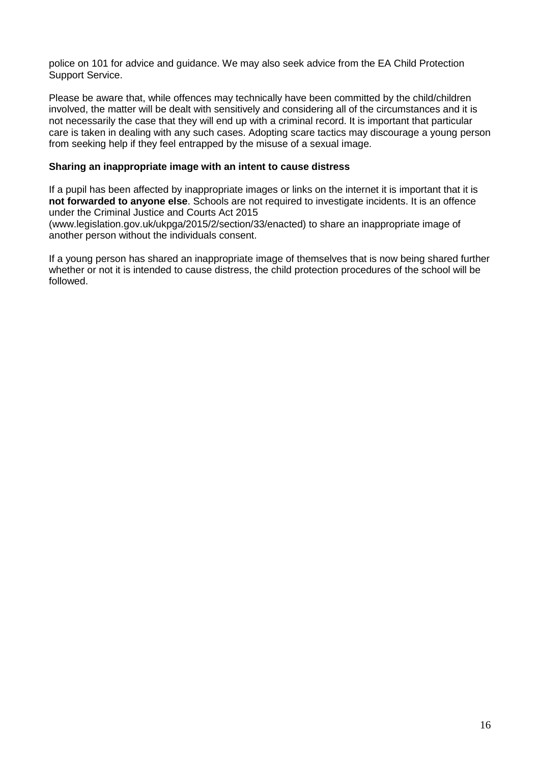police on 101 for advice and guidance. We may also seek advice from the EA Child Protection Support Service.

Please be aware that, while offences may technically have been committed by the child/children involved, the matter will be dealt with sensitively and considering all of the circumstances and it is not necessarily the case that they will end up with a criminal record. It is important that particular care is taken in dealing with any such cases. Adopting scare tactics may discourage a young person from seeking help if they feel entrapped by the misuse of a sexual image.

#### **Sharing an inappropriate image with an intent to cause distress**

If a pupil has been affected by inappropriate images or links on the internet it is important that it is **not forwarded to anyone else**. Schools are not required to investigate incidents. It is an offence under the Criminal Justice and Courts Act 2015

(www.legislation.gov.uk/ukpga/2015/2/section/33/enacted) to share an inappropriate image of another person without the individuals consent.

If a young person has shared an inappropriate image of themselves that is now being shared further whether or not it is intended to cause distress, the child protection procedures of the school will be followed.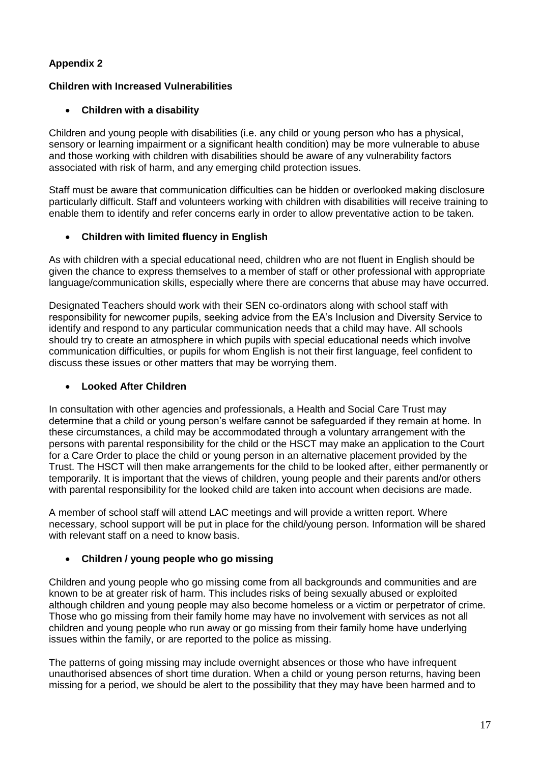## **Children with Increased Vulnerabilities**

# **Children with a disability**

Children and young people with disabilities (i.e. any child or young person who has a physical, sensory or learning impairment or a significant health condition) may be more vulnerable to abuse and those working with children with disabilities should be aware of any vulnerability factors associated with risk of harm, and any emerging child protection issues.

Staff must be aware that communication difficulties can be hidden or overlooked making disclosure particularly difficult. Staff and volunteers working with children with disabilities will receive training to enable them to identify and refer concerns early in order to allow preventative action to be taken.

# **Children with limited fluency in English**

As with children with a special educational need, children who are not fluent in English should be given the chance to express themselves to a member of staff or other professional with appropriate language/communication skills, especially where there are concerns that abuse may have occurred.

Designated Teachers should work with their SEN co-ordinators along with school staff with responsibility for newcomer pupils, seeking advice from the EA's Inclusion and Diversity Service to identify and respond to any particular communication needs that a child may have. All schools should try to create an atmosphere in which pupils with special educational needs which involve communication difficulties, or pupils for whom English is not their first language, feel confident to discuss these issues or other matters that may be worrying them.

## **Looked After Children**

In consultation with other agencies and professionals, a Health and Social Care Trust may determine that a child or young person's welfare cannot be safeguarded if they remain at home. In these circumstances, a child may be accommodated through a voluntary arrangement with the persons with parental responsibility for the child or the HSCT may make an application to the Court for a Care Order to place the child or young person in an alternative placement provided by the Trust. The HSCT will then make arrangements for the child to be looked after, either permanently or temporarily. It is important that the views of children, young people and their parents and/or others with parental responsibility for the looked child are taken into account when decisions are made.

A member of school staff will attend LAC meetings and will provide a written report. Where necessary, school support will be put in place for the child/young person. Information will be shared with relevant staff on a need to know basis.

## **Children / young people who go missing**

Children and young people who go missing come from all backgrounds and communities and are known to be at greater risk of harm. This includes risks of being sexually abused or exploited although children and young people may also become homeless or a victim or perpetrator of crime. Those who go missing from their family home may have no involvement with services as not all children and young people who run away or go missing from their family home have underlying issues within the family, or are reported to the police as missing.

The patterns of going missing may include overnight absences or those who have infrequent unauthorised absences of short time duration. When a child or young person returns, having been missing for a period, we should be alert to the possibility that they may have been harmed and to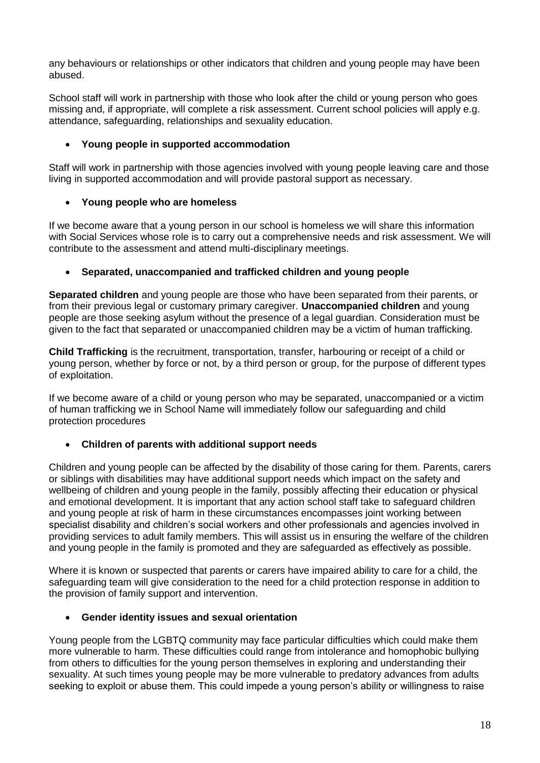any behaviours or relationships or other indicators that children and young people may have been abused.

School staff will work in partnership with those who look after the child or young person who goes missing and, if appropriate, will complete a risk assessment. Current school policies will apply e.g. attendance, safeguarding, relationships and sexuality education.

## **Young people in supported accommodation**

Staff will work in partnership with those agencies involved with young people leaving care and those living in supported accommodation and will provide pastoral support as necessary.

#### **Young people who are homeless**

If we become aware that a young person in our school is homeless we will share this information with Social Services whose role is to carry out a comprehensive needs and risk assessment. We will contribute to the assessment and attend multi-disciplinary meetings.

#### **Separated, unaccompanied and trafficked children and young people**

**Separated children** and young people are those who have been separated from their parents, or from their previous legal or customary primary caregiver. **Unaccompanied children** and young people are those seeking asylum without the presence of a legal guardian. Consideration must be given to the fact that separated or unaccompanied children may be a victim of human trafficking.

**Child Trafficking** is the recruitment, transportation, transfer, harbouring or receipt of a child or young person, whether by force or not, by a third person or group, for the purpose of different types of exploitation.

If we become aware of a child or young person who may be separated, unaccompanied or a victim of human trafficking we in School Name will immediately follow our safeguarding and child protection procedures

#### **Children of parents with additional support needs**

Children and young people can be affected by the disability of those caring for them. Parents, carers or siblings with disabilities may have additional support needs which impact on the safety and wellbeing of children and young people in the family, possibly affecting their education or physical and emotional development. It is important that any action school staff take to safeguard children and young people at risk of harm in these circumstances encompasses joint working between specialist disability and children's social workers and other professionals and agencies involved in providing services to adult family members. This will assist us in ensuring the welfare of the children and young people in the family is promoted and they are safeguarded as effectively as possible.

Where it is known or suspected that parents or carers have impaired ability to care for a child, the safeguarding team will give consideration to the need for a child protection response in addition to the provision of family support and intervention.

#### **Gender identity issues and sexual orientation**

Young people from the LGBTQ community may face particular difficulties which could make them more vulnerable to harm. These difficulties could range from intolerance and homophobic bullying from others to difficulties for the young person themselves in exploring and understanding their sexuality. At such times young people may be more vulnerable to predatory advances from adults seeking to exploit or abuse them. This could impede a young person's ability or willingness to raise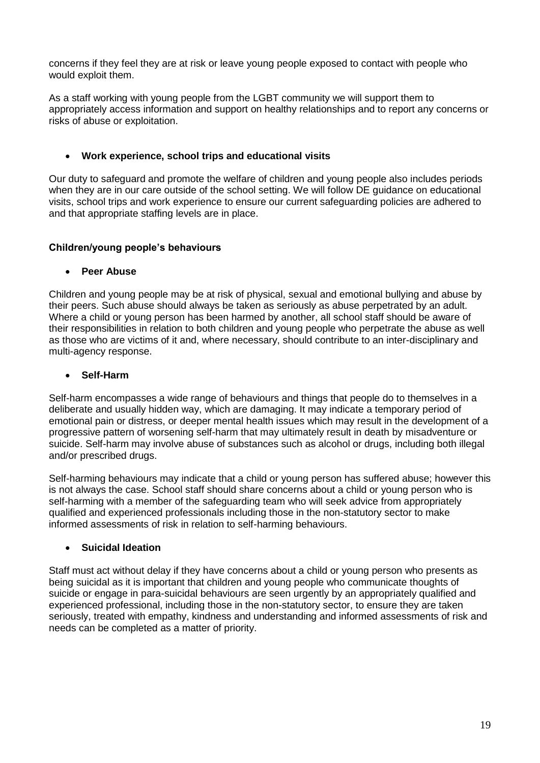concerns if they feel they are at risk or leave young people exposed to contact with people who would exploit them.

As a staff working with young people from the LGBT community we will support them to appropriately access information and support on healthy relationships and to report any concerns or risks of abuse or exploitation.

#### **Work experience, school trips and educational visits**

Our duty to safeguard and promote the welfare of children and young people also includes periods when they are in our care outside of the school setting. We will follow DE guidance on educational visits, school trips and work experience to ensure our current safeguarding policies are adhered to and that appropriate staffing levels are in place.

#### **Children/young people's behaviours**

#### **Peer Abuse**

Children and young people may be at risk of physical, sexual and emotional bullying and abuse by their peers. Such abuse should always be taken as seriously as abuse perpetrated by an adult. Where a child or young person has been harmed by another, all school staff should be aware of their responsibilities in relation to both children and young people who perpetrate the abuse as well as those who are victims of it and, where necessary, should contribute to an inter-disciplinary and multi-agency response.

#### **Self-Harm**

Self-harm encompasses a wide range of behaviours and things that people do to themselves in a deliberate and usually hidden way, which are damaging. It may indicate a temporary period of emotional pain or distress, or deeper mental health issues which may result in the development of a progressive pattern of worsening self-harm that may ultimately result in death by misadventure or suicide. Self-harm may involve abuse of substances such as alcohol or drugs, including both illegal and/or prescribed drugs.

Self-harming behaviours may indicate that a child or young person has suffered abuse; however this is not always the case. School staff should share concerns about a child or young person who is self-harming with a member of the safeguarding team who will seek advice from appropriately qualified and experienced professionals including those in the non-statutory sector to make informed assessments of risk in relation to self-harming behaviours.

## **Suicidal Ideation**

Staff must act without delay if they have concerns about a child or young person who presents as being suicidal as it is important that children and young people who communicate thoughts of suicide or engage in para-suicidal behaviours are seen urgently by an appropriately qualified and experienced professional, including those in the non-statutory sector, to ensure they are taken seriously, treated with empathy, kindness and understanding and informed assessments of risk and needs can be completed as a matter of priority.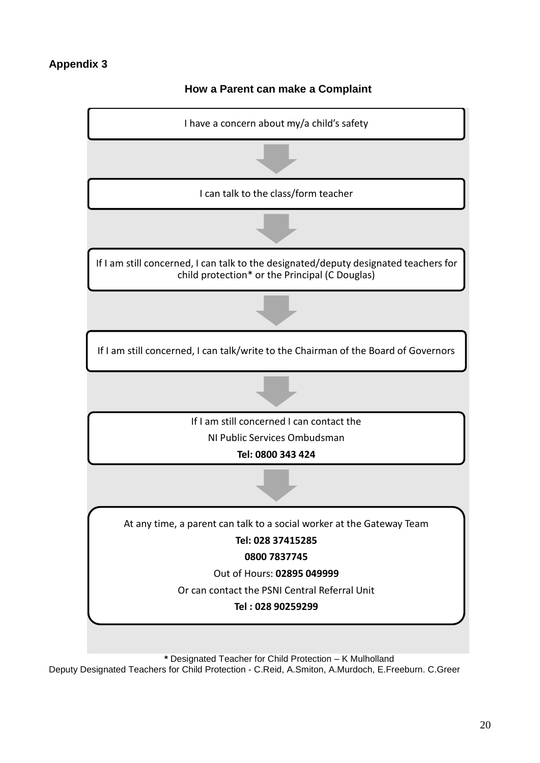

**How a Parent can make a Complaint**

**\*** Designated Teacher for Child Protection – K Mulholland

Deputy Designated Teachers for Child Protection - C.Reid, A.Smiton, A.Murdoch, E.Freeburn. C.Greer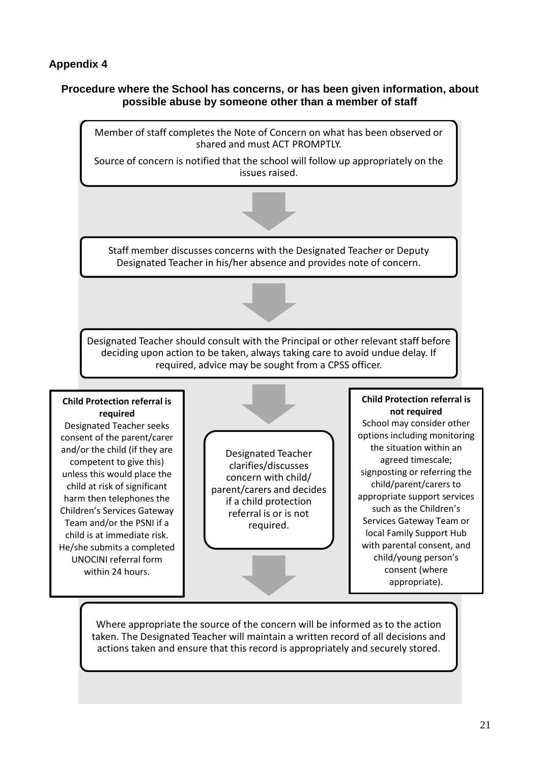He/she submits a completed UNOCINI referral form within 24 hours.

## **Procedure where the School has concerns, or has been given information, about possible abuse by someone other than a member of staff**



Where appropriate the source of the concern will be informed as to the action taken. The Designated Teacher will maintain a written record of all decisions and actions taken and ensure that this record is appropriately and securely stored.

with parental consent, and child/young person's consent (where appropriate).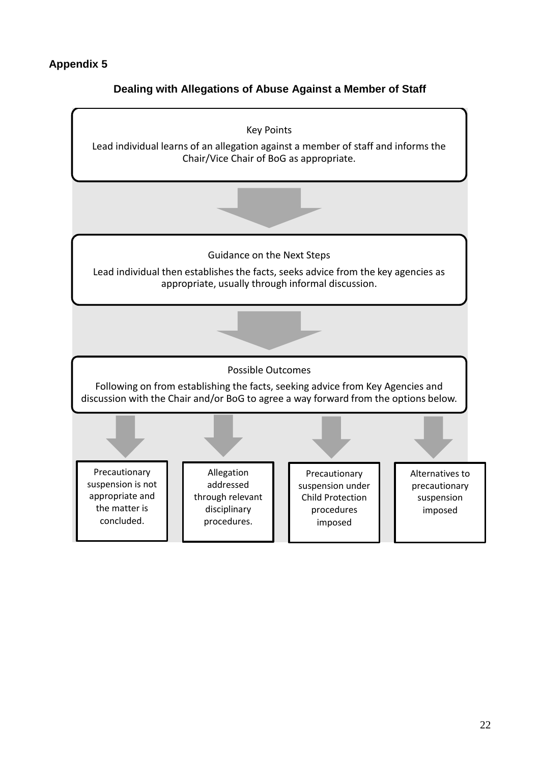# **Dealing with Allegations of Abuse Against a Member of Staff**

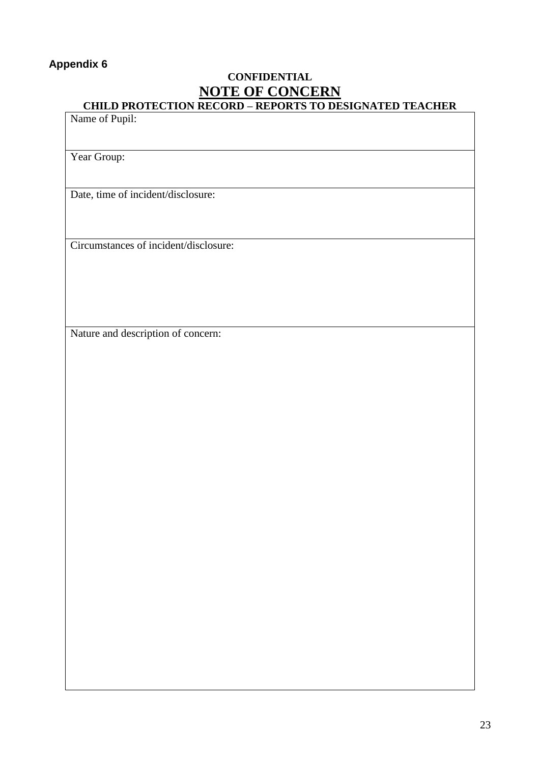# **CONFIDENTIAL NOTE OF CONCERN CHILD PROTECTION RECORD – REPORTS TO DESIGNATED TEACHER**

# Name of Pupil:

Year Group:

Date, time of incident/disclosure:

Circumstances of incident/disclosure:

Nature and description of concern: